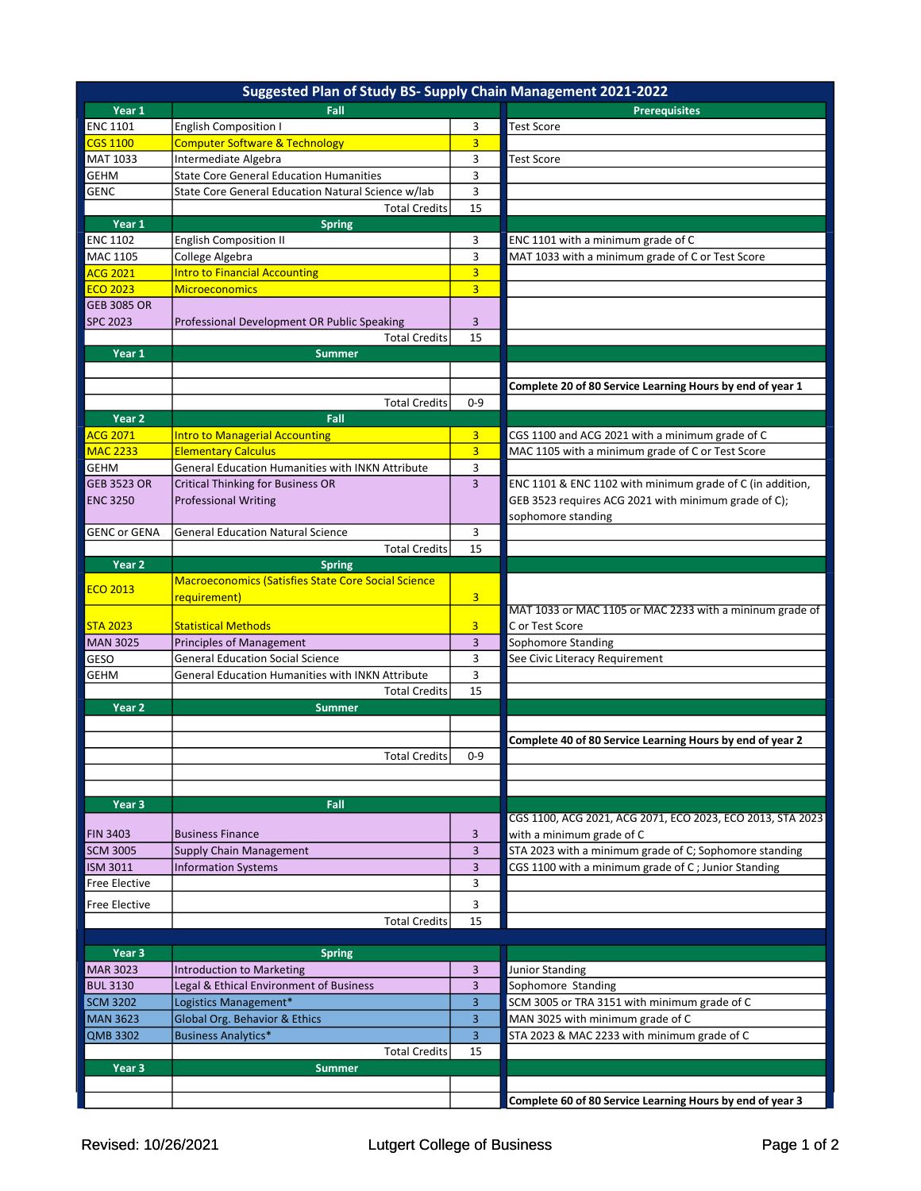|                      | Suggested Plan of Study BS- Supply Chain Management 2021-2022 |                         |                                                            |
|----------------------|---------------------------------------------------------------|-------------------------|------------------------------------------------------------|
| Year 1               | Fall                                                          |                         | <b>Prerequisites</b>                                       |
| <b>ENC 1101</b>      | <b>English Composition I</b>                                  | 3                       | <b>Test Score</b>                                          |
| <b>CGS 1100</b>      | <b>Computer Software &amp; Technology</b>                     | $\overline{3}$          |                                                            |
| MAT 1033             | Intermediate Algebra                                          | 3                       | <b>Test Score</b>                                          |
| <b>GEHM</b>          | <b>State Core General Education Humanities</b>                | 3                       |                                                            |
| <b>GENC</b>          | State Core General Education Natural Science w/lab            | 3                       |                                                            |
|                      | <b>Total Credits</b>                                          | 15                      |                                                            |
| Year 1               | <b>Spring</b>                                                 |                         |                                                            |
| <b>ENC 1102</b>      | <b>English Composition II</b>                                 | 3                       | ENC 1101 with a minimum grade of C                         |
| MAC 1105             | College Algebra                                               | 3                       | MAT 1033 with a minimum grade of C or Test Score           |
| <b>ACG 2021</b>      | <b>Intro to Financial Accounting</b>                          | $\overline{3}$          |                                                            |
| <b>ECO 2023</b>      | <b>Microeconomics</b>                                         | $\overline{3}$          |                                                            |
| <b>GEB 3085 OR</b>   |                                                               |                         |                                                            |
| <b>SPC 2023</b>      | Professional Development OR Public Speaking                   | 3                       |                                                            |
|                      | <b>Total Credits</b>                                          | 15                      |                                                            |
| Year 1               | <b>Summer</b>                                                 |                         |                                                            |
|                      |                                                               |                         |                                                            |
|                      |                                                               |                         | Complete 20 of 80 Service Learning Hours by end of year 1  |
|                      | <b>Total Credits</b>                                          | $0 - 9$                 |                                                            |
| Year 2               | Fall                                                          |                         |                                                            |
| <b>ACG 2071</b>      | <b>Intro to Managerial Accounting</b>                         | 3                       | CGS 1100 and ACG 2021 with a minimum grade of C            |
| <b>MAC 2233</b>      | <b>Elementary Calculus</b>                                    | $\overline{3}$          | MAC 1105 with a minimum grade of C or Test Score           |
| <b>GEHM</b>          | General Education Humanities with INKN Attribute              | 3                       |                                                            |
| <b>GEB 3523 OR</b>   | <b>Critical Thinking for Business OR</b>                      | $\overline{3}$          | ENC 1101 & ENC 1102 with minimum grade of C (in addition,  |
| <b>ENC 3250</b>      | <b>Professional Writing</b>                                   |                         | GEB 3523 requires ACG 2021 with minimum grade of C);       |
|                      |                                                               |                         | sophomore standing                                         |
| <b>GENC or GENA</b>  | <b>General Education Natural Science</b>                      | 3                       |                                                            |
|                      | <b>Total Credits</b>                                          | 15                      |                                                            |
| Year 2               | <b>Spring</b>                                                 |                         |                                                            |
| <b>ECO 2013</b>      | <b>Macroeconomics (Satisfies State Core Social Science</b>    |                         |                                                            |
|                      | requirement)                                                  | $\overline{\mathbf{3}}$ |                                                            |
|                      |                                                               |                         | MAT 1033 or MAC 1105 or MAC 2233 with a mininum grade of   |
| <b>STA 2023</b>      | <b>Statistical Methods</b>                                    | $\overline{3}$          | C or Test Score                                            |
| <b>MAN 3025</b>      | <b>Principles of Management</b>                               | 3                       | Sophomore Standing                                         |
| GESO                 | <b>General Education Social Science</b>                       | 3                       | See Civic Literacy Requirement                             |
| <b>GEHM</b>          | <b>General Education Humanities with INKN Attribute</b>       | 3<br>15                 |                                                            |
|                      | <b>Total Credits</b>                                          |                         |                                                            |
| Year 2               | <b>Summer</b>                                                 |                         |                                                            |
|                      |                                                               |                         |                                                            |
|                      |                                                               |                         | Complete 40 of 80 Service Learning Hours by end of year 2  |
|                      | <b>Total Credits</b>                                          | $0 - 9$                 |                                                            |
|                      |                                                               |                         |                                                            |
| Year <sub>3</sub>    |                                                               |                         |                                                            |
|                      | Fall                                                          |                         | CGS 1100, ACG 2021, ACG 2071, ECO 2023, ECO 2013, STA 2023 |
| <b>FIN 3403</b>      | <b>Business Finance</b>                                       | 3                       | with a minimum grade of C                                  |
| <b>SCM 3005</b>      | <b>Supply Chain Management</b>                                | 3                       | STA 2023 with a minimum grade of C; Sophomore standing     |
| <b>ISM 3011</b>      | <b>Information Systems</b>                                    | 3                       | CGS 1100 with a minimum grade of C; Junior Standing        |
| Free Elective        |                                                               | 3                       |                                                            |
|                      |                                                               |                         |                                                            |
| <b>Free Elective</b> |                                                               | 3                       |                                                            |
|                      | <b>Total Credits</b>                                          | 15                      |                                                            |
|                      |                                                               |                         |                                                            |
| Year 3               | <b>Spring</b>                                                 |                         |                                                            |
| <b>MAR 3023</b>      | <b>Introduction to Marketing</b>                              | 3                       | Junior Standing                                            |
| <b>BUL 3130</b>      | Legal & Ethical Environment of Business                       | 3                       | Sophomore Standing                                         |
| <b>SCM 3202</b>      | Logistics Management*                                         | $\overline{3}$          | SCM 3005 or TRA 3151 with minimum grade of C               |
| <b>MAN 3623</b>      | Global Org. Behavior & Ethics                                 | 3                       | MAN 3025 with minimum grade of C                           |
| <b>QMB 3302</b>      | <b>Business Analytics*</b>                                    | 3                       | STA 2023 & MAC 2233 with minimum grade of C                |
|                      | <b>Total Credits</b>                                          | 15                      |                                                            |
| Year 3               | <b>Summer</b>                                                 |                         |                                                            |
|                      |                                                               |                         |                                                            |
|                      |                                                               |                         | Complete 60 of 80 Service Learning Hours by end of year 3  |